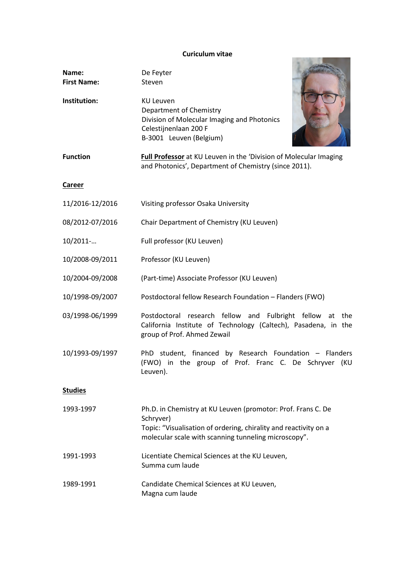## **Curiculum vitae**

| Name:<br><b>First Name:</b> | De Feyter<br>Steven                                                                                                                                                                                   |
|-----------------------------|-------------------------------------------------------------------------------------------------------------------------------------------------------------------------------------------------------|
| Institution:                | <b>KU Leuven</b><br>Department of Chemistry<br>Division of Molecular Imaging and Photonics<br>Celestijnenlaan 200 F<br>B-3001 Leuven (Belgium)                                                        |
| <b>Function</b>             | Full Professor at KU Leuven in the 'Division of Molecular Imaging<br>and Photonics', Department of Chemistry (since 2011).                                                                            |
| Career                      |                                                                                                                                                                                                       |
| 11/2016-12/2016             | Visiting professor Osaka University                                                                                                                                                                   |
| 08/2012-07/2016             | Chair Department of Chemistry (KU Leuven)                                                                                                                                                             |
| 10/2011-                    | Full professor (KU Leuven)                                                                                                                                                                            |
| 10/2008-09/2011             | Professor (KU Leuven)                                                                                                                                                                                 |
| 10/2004-09/2008             | (Part-time) Associate Professor (KU Leuven)                                                                                                                                                           |
| 10/1998-09/2007             | Postdoctoral fellow Research Foundation - Flanders (FWO)                                                                                                                                              |
| 03/1998-06/1999             | Postdoctoral research fellow and Fulbright fellow at<br>the<br>California Institute of Technology (Caltech), Pasadena, in the<br>group of Prof. Ahmed Zewail                                          |
| 10/1993-09/1997             | PhD student, financed by Research Foundation - Flanders<br>(FWO) in the group of Prof. Franc C. De Schryver (KU<br>Leuven).                                                                           |
| <b>Studies</b>              |                                                                                                                                                                                                       |
| 1993-1997                   | Ph.D. in Chemistry at KU Leuven (promotor: Prof. Frans C. De<br>Schryver)<br>Topic: "Visualisation of ordering, chirality and reactivity on a<br>molecular scale with scanning tunneling microscopy". |
| 1991-1993                   | Licentiate Chemical Sciences at the KU Leuven,<br>Summa cum laude                                                                                                                                     |
| 1989-1991                   | Candidate Chemical Sciences at KU Leuven,<br>Magna cum laude                                                                                                                                          |